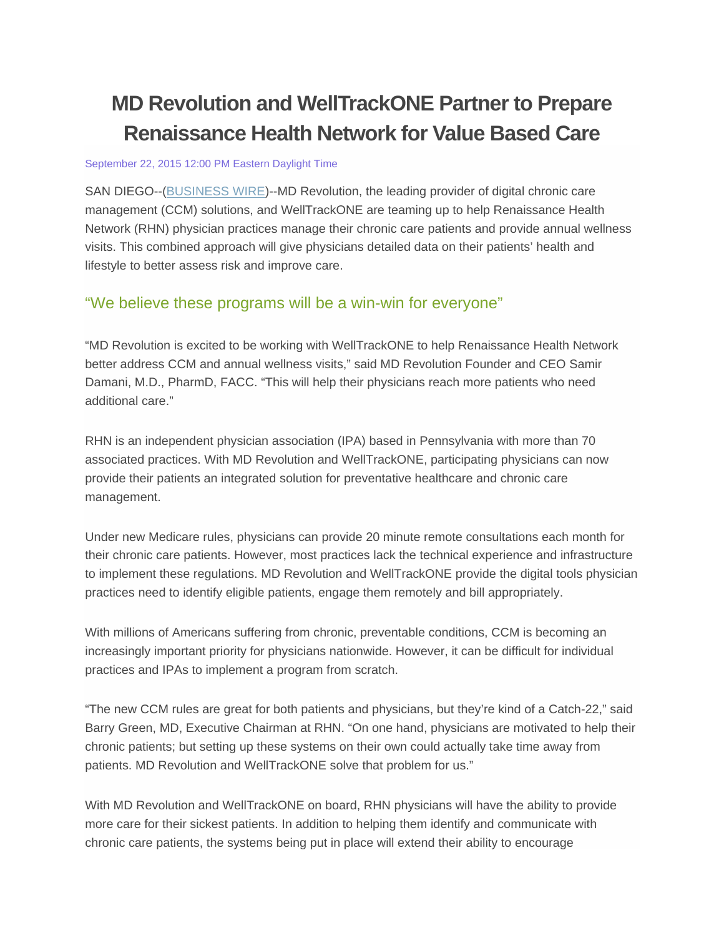# **MD Revolution and WellTrackONE Partner to Prepare Renaissance Health Network for Value Based Care**

#### September 22, 2015 12:00 PM Eastern Daylight Time

SAN DIEGO--(BUSINESS WIRE)--MD Revolution, the leading provider of digital chronic care management (CCM) solutions, and WellTrackONE are teaming up to help Renaissance Health Network (RHN) physician practices manage their chronic care patients and provide annual wellness visits. This combined approach will give physicians detailed data on their patients' health and lifestyle to better assess risk and improve care.

## "We believe these programs will be a win-win for everyone"

"MD Revolution is excited to be working with WellTrackONE to help Renaissance Health Network better address CCM and annual wellness visits," said MD Revolution Founder and CEO Samir Damani, M.D., PharmD, FACC. "This will help their physicians reach more patients who need additional care."

RHN is an independent physician association (IPA) based in Pennsylvania with more than 70 associated practices. With MD Revolution and WellTrackONE, participating physicians can now provide their patients an integrated solution for preventative healthcare and chronic care management.

Under new Medicare rules, physicians can provide 20 minute remote consultations each month for their chronic care patients. However, most practices lack the technical experience and infrastructure to implement these regulations. MD Revolution and WellTrackONE provide the digital tools physician practices need to identify eligible patients, engage them remotely and bill appropriately.

With millions of Americans suffering from chronic, preventable conditions, CCM is becoming an increasingly important priority for physicians nationwide. However, it can be difficult for individual practices and IPAs to implement a program from scratch.

"The new CCM rules are great for both patients and physicians, but they're kind of a Catch-22," said Barry Green, MD, Executive Chairman at RHN. "On one hand, physicians are motivated to help their chronic patients; but setting up these systems on their own could actually take time away from patients. MD Revolution and WellTrackONE solve that problem for us."

With MD Revolution and WellTrackONE on board, RHN physicians will have the ability to provide more care for their sickest patients. In addition to helping them identify and communicate with chronic care patients, the systems being put in place will extend their ability to encourage